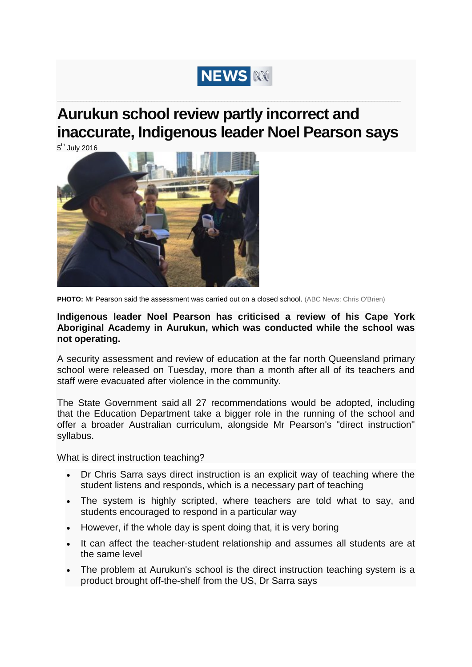

## **Aurukun school review partly incorrect and inaccurate, Indigenous leader Noel Pearson says**

**\_\_\_\_\_\_\_\_\_\_\_\_\_\_\_\_\_\_\_\_\_\_\_\_\_\_\_\_\_\_\_\_\_\_\_\_\_\_\_\_\_\_\_\_\_\_\_\_\_\_\_\_\_\_\_\_\_\_\_\_\_\_\_\_\_\_\_\_\_\_\_\_\_\_\_\_\_\_\_\_\_\_\_\_\_\_\_\_\_\_\_\_\_\_\_\_\_\_\_\_\_\_\_\_\_\_\_\_\_\_\_\_\_\_\_\_\_**

 $5<sup>th</sup>$  July 2016



**PHOTO:** Mr Pearson said the assessment was carried out on a closed school. (ABC News: Chris O'Brien)

## **Indigenous leader Noel Pearson has criticised a review of his Cape York Aboriginal Academy in Aurukun, which was conducted while the school was not operating.**

A security assessment and review of education at the far north Queensland primary school were released on Tuesday, more than a month after all of its teachers and staff were evacuated after violence in the community.

The State Government said [all 27 recommendations would be adopted,](http://www.abc.net.au/news/2016-07-05/aurukun-review-announced-school-to-reopen/7569946) including that the Education Department take a bigger role in the running of the school and offer a broader Australian curriculum, alongside Mr Pearson's "direct instruction" syllabus.

What is direct instruction teaching?

- Dr Chris Sarra says direct instruction is an explicit way of teaching where the student listens and responds, which is a necessary part of teaching
- The system is highly scripted, where teachers are told what to say, and students encouraged to respond in a particular way
- However, if the whole day is spent doing that, it is very boring
- It can affect the teacher-student relationship and assumes all students are at the same level
- The problem at Aurukun's school is the direct instruction teaching system is a product brought off-the-shelf from the US, Dr Sarra says